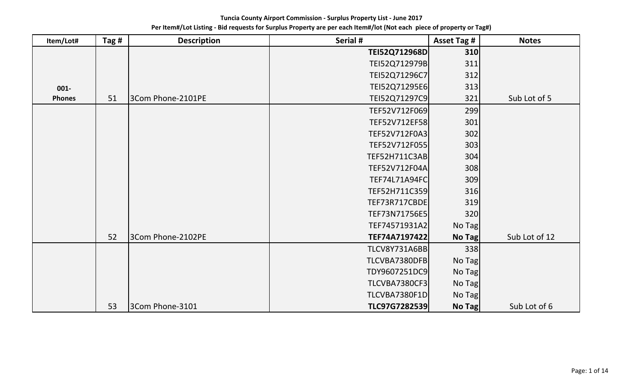| Item/Lot#     | Tag $#$ | <b>Description</b> | Serial #             | <b>Asset Tag #</b> | <b>Notes</b>  |
|---------------|---------|--------------------|----------------------|--------------------|---------------|
|               |         |                    | TEI52Q712968D        | 310                |               |
|               |         |                    | TEI52Q712979B        | 311                |               |
|               |         |                    | TEI52Q71296C7        | 312                |               |
| $001 -$       |         |                    | TEI52Q71295E6        | 313                |               |
| <b>Phones</b> | 51      | 3Com Phone-2101PE  | TEI52Q71297C9        | 321                | Sub Lot of 5  |
|               |         |                    | TEF52V712F069        | 299                |               |
|               |         |                    | TEF52V712EF58        | 301                |               |
|               |         |                    | TEF52V712F0A3        | 302                |               |
|               |         |                    | TEF52V712F055        | 303                |               |
|               |         |                    | TEF52H711C3AB        | 304                |               |
|               |         |                    | TEF52V712F04A        | 308                |               |
|               |         |                    | <b>TEF74L71A94FC</b> | 309                |               |
|               |         |                    | TEF52H711C359        | 316                |               |
|               |         |                    | TEF73R717CBDE        | 319                |               |
|               |         |                    | TEF73N71756E5        | 320                |               |
|               |         |                    | TEF74571931A2        | No Tag             |               |
|               | 52      | 3Com Phone-2102PE  | TEF74A7197422        | No Tag             | Sub Lot of 12 |
|               |         |                    | <b>TLCV8Y731A6BB</b> | 338                |               |
|               |         |                    | TLCVBA7380DFB        | No Tag             |               |
|               |         |                    | TDY9607251DC9        | No Tag             |               |
|               |         |                    | TLCVBA7380CF3        | No Tag             |               |
|               |         |                    | TLCVBA7380F1D        | No Tag             |               |
|               | 53      | 3Com Phone-3101    | TLC97G7282539        | <b>No Tag</b>      | Sub Lot of 6  |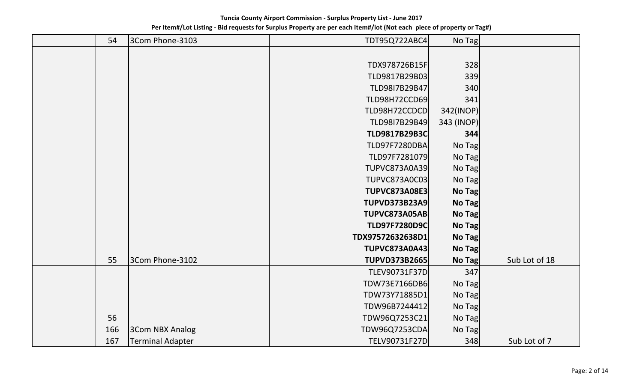| 54  | 3Com Phone-3103         | TDT95Q722ABC4        | No Tag     |               |
|-----|-------------------------|----------------------|------------|---------------|
|     |                         |                      |            |               |
|     |                         | TDX978726B15F        | 328        |               |
|     |                         | TLD9817B29B03        | 339        |               |
|     |                         | TLD98I7B29B47        | 340        |               |
|     |                         | <b>TLD98H72CCD69</b> | 341        |               |
|     |                         | TLD98H72CCDCD        | 342(INOP)  |               |
|     |                         | TLD9817B29B49        | 343 (INOP) |               |
|     |                         | <b>TLD9817B29B3C</b> | 344        |               |
|     |                         | <b>TLD97F7280DBA</b> | No Tag     |               |
|     |                         | TLD97F7281079        | No Tag     |               |
|     |                         | <b>TUPVC873A0A39</b> | No Tag     |               |
|     |                         | TUPVC873A0C03        | No Tag     |               |
|     |                         | <b>TUPVC873A08E3</b> | No Tag     |               |
|     |                         | <b>TUPVD373B23A9</b> | No Tag     |               |
|     |                         | <b>TUPVC873A05AB</b> | No Tag     |               |
|     |                         | <b>TLD97F7280D9C</b> | No Tag     |               |
|     |                         | TDX97572632638D1     | No Tag     |               |
|     |                         | <b>TUPVC873A0A43</b> | No Tag     |               |
| 55  | 3Com Phone-3102         | <b>TUPVD373B2665</b> | No Tag     | Sub Lot of 18 |
|     |                         | TLEV90731F37D        | 347        |               |
|     |                         | TDW73E7166DB6        | No Tag     |               |
|     |                         | TDW73Y71885D1        | No Tag     |               |
|     |                         | TDW96B7244412        | No Tag     |               |
| 56  |                         | TDW96Q7253C21        | No Tag     |               |
| 166 | <b>3Com NBX Analog</b>  | <b>TDW96Q7253CDA</b> | No Tag     |               |
| 167 | <b>Terminal Adapter</b> | TELV90731F27D        | 348        | Sub Lot of 7  |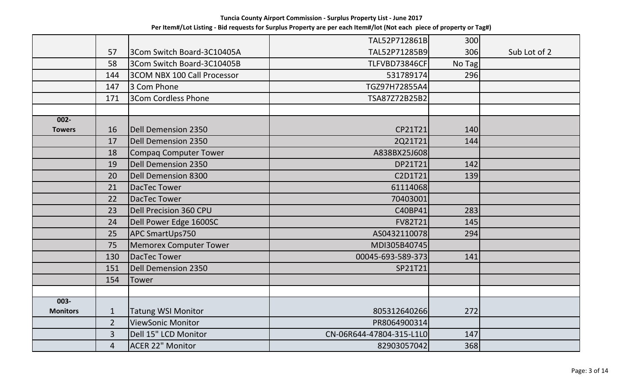|                 |                |                                    | TAL52P712861B            | 300    |              |
|-----------------|----------------|------------------------------------|--------------------------|--------|--------------|
|                 | 57             | 3Com Switch Board-3C10405A         | TAL52P71285B9            | 306    | Sub Lot of 2 |
|                 | 58             | 3Com Switch Board-3C10405B         | TLFVBD73846CF            | No Tag |              |
|                 | 144            | <b>3COM NBX 100 Call Processor</b> | 531789174                | 296    |              |
|                 | 147            | 3 Com Phone                        | TGZ97H72855A4            |        |              |
|                 | 171            | 3Com Cordless Phone                | TSA87Z72B25B2            |        |              |
|                 |                |                                    |                          |        |              |
| $002 -$         |                |                                    |                          |        |              |
| <b>Towers</b>   | 16             | Dell Demension 2350                | CP21T21                  | 140    |              |
|                 | 17             | <b>Dell Demension 2350</b>         | 2Q21T21                  | 144    |              |
|                 | 18             | Compaq Computer Tower              | A838BX25J608             |        |              |
|                 | 19             | Dell Demension 2350                | DP21T21                  | 142    |              |
|                 | 20             | <b>Dell Demension 8300</b>         | C2D1T21                  | 139    |              |
|                 | 21             | DacTec Tower                       | 61114068                 |        |              |
|                 | 22             | DacTec Tower                       | 70403001                 |        |              |
|                 | 23             | Dell Precision 360 CPU             | C40BP41                  | 283    |              |
|                 | 24             | Dell Power Edge 1600SC             | <b>FV82T21</b>           | 145    |              |
|                 | 25             | APC SmartUps750                    | AS0432110078             | 294    |              |
|                 | 75             | <b>Memorex Computer Tower</b>      | MDI305B40745             |        |              |
|                 | 130            | DacTec Tower                       | 00045-693-589-373        | 141    |              |
|                 | 151            | <b>Dell Demension 2350</b>         | SP21T21                  |        |              |
|                 | 154            | <b>Tower</b>                       |                          |        |              |
|                 |                |                                    |                          |        |              |
| $003 -$         |                |                                    |                          |        |              |
| <b>Monitors</b> | $\mathbf{1}$   | <b>Tatung WSI Monitor</b>          | 805312640266             | 272    |              |
|                 | $\overline{2}$ | ViewSonic Monitor                  | PR8064900314             |        |              |
|                 | $\mathbf{3}$   | Dell 15" LCD Monitor               | CN-06R644-47804-315-L1L0 | 147    |              |
|                 | $\overline{4}$ | <b>ACER 22" Monitor</b>            | 82903057042              | 368    |              |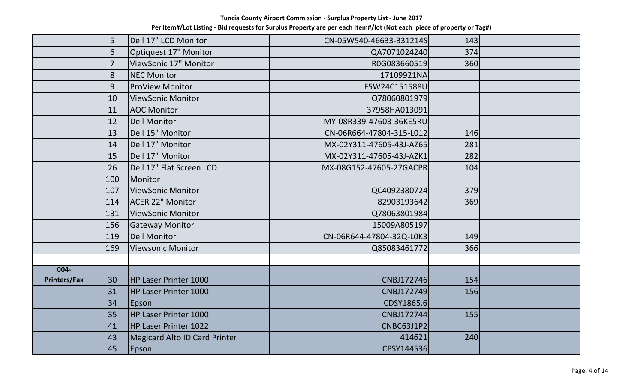|                     | 5              | Dell 17" LCD Monitor                 | CN-05W540-46633-331214S  | 143 |  |
|---------------------|----------------|--------------------------------------|--------------------------|-----|--|
|                     | 6              | Optiquest 17" Monitor                | QA7071024240             | 374 |  |
|                     | $\overline{7}$ | ViewSonic 17" Monitor                | R0G083660519             | 360 |  |
|                     | 8              | <b>NEC Monitor</b>                   | 17109921NA               |     |  |
|                     | 9              | <b>ProView Monitor</b>               | F5W24C151588U            |     |  |
|                     | 10             | <b>ViewSonic Monitor</b>             | Q78060801979             |     |  |
|                     | 11             | <b>AOC Monitor</b>                   | 37958HA013091            |     |  |
|                     | 12             | <b>Dell Monitor</b>                  | MY-08R339-47603-36KE5RU  |     |  |
|                     | 13             | Dell 15" Monitor                     | CN-06R664-47804-315-L012 | 146 |  |
|                     | 14             | Dell 17" Monitor                     | MX-02Y311-47605-43J-AZ65 | 281 |  |
|                     | 15             | Dell 17" Monitor                     | MX-02Y311-47605-43J-AZK1 | 282 |  |
|                     | 26             | Dell 17" Flat Screen LCD             | MX-08G152-47605-27GACPR  | 104 |  |
|                     | 100            | Monitor                              |                          |     |  |
|                     | 107            | ViewSonic Monitor                    | QC4092380724             | 379 |  |
|                     | 114            | <b>ACER 22" Monitor</b>              | 82903193642              | 369 |  |
|                     | 131            | <b>ViewSonic Monitor</b>             | Q78063801984             |     |  |
|                     | 156            | <b>Gateway Monitor</b>               | 15009A805197             |     |  |
|                     | 119            | <b>Dell Monitor</b>                  | CN-06R644-47804-32Q-L0K3 | 149 |  |
|                     | 169            | Viewsonic Monitor                    | Q85083461772             | 366 |  |
|                     |                |                                      |                          |     |  |
| $004 -$             |                |                                      |                          |     |  |
| <b>Printers/Fax</b> | 30             | <b>HP Laser Printer 1000</b>         | CNBJ172746               | 154 |  |
|                     | 31             | <b>HP Laser Printer 1000</b>         | CNBJ172749               | 156 |  |
|                     | 34             | Epson                                | CDSY1865.6               |     |  |
|                     | 35             | <b>HP Laser Printer 1000</b>         | CNBJ172744               | 155 |  |
|                     | 41             | <b>HP Laser Printer 1022</b>         | CNBC63J1P2               |     |  |
|                     | 43             | <b>Magicard Alto ID Card Printer</b> | 414621                   | 240 |  |
|                     | 45             | Epson                                | CPSY144536               |     |  |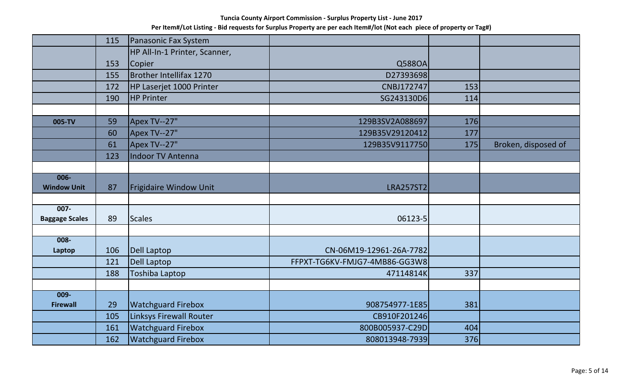|                       | 115 | Panasonic Fax System          |                               |     |                     |
|-----------------------|-----|-------------------------------|-------------------------------|-----|---------------------|
|                       |     | HP All-In-1 Printer, Scanner, |                               |     |                     |
|                       | 153 | Copier                        | Q588OA                        |     |                     |
|                       | 155 | Brother Intellifax 1270       | D27393698                     |     |                     |
|                       | 172 | HP Laserjet 1000 Printer      | <b>CNBJ172747</b>             | 153 |                     |
|                       | 190 | <b>HP Printer</b>             | SG243130D6                    | 114 |                     |
|                       |     |                               |                               |     |                     |
| 005-TV                | 59  | <b>Apex TV--27"</b>           | 129B3SV2A088697               | 176 |                     |
|                       | 60  | Apex TV--27"                  | 129B35V29120412               | 177 |                     |
|                       | 61  | Apex TV--27"                  | 129B35V9117750                | 175 | Broken, disposed of |
|                       | 123 | <b>Indoor TV Antenna</b>      |                               |     |                     |
|                       |     |                               |                               |     |                     |
| $006 -$               |     |                               |                               |     |                     |
| <b>Window Unit</b>    | 87  | Frigidaire Window Unit        | <b>LRA257ST2</b>              |     |                     |
| $007 -$               |     |                               |                               |     |                     |
| <b>Baggage Scales</b> | 89  | <b>Scales</b>                 | 06123-5                       |     |                     |
|                       |     |                               |                               |     |                     |
| $008 -$               |     |                               |                               |     |                     |
| Laptop                | 106 | <b>Dell Laptop</b>            | CN-06M19-12961-26A-7782       |     |                     |
|                       | 121 | Dell Laptop                   | FFPXT-TG6KV-FMJG7-4MB86-GG3W8 |     |                     |
|                       | 188 | <b>Toshiba Laptop</b>         | 47114814K                     | 337 |                     |
|                       |     |                               |                               |     |                     |
| $009 -$               |     |                               |                               |     |                     |
| <b>Firewall</b>       | 29  | <b>Watchguard Firebox</b>     | 908754977-1E85                | 381 |                     |
|                       | 105 | Linksys Firewall Router       | CB910F201246                  |     |                     |
|                       | 161 | <b>Watchguard Firebox</b>     | 800B005937-C29D               | 404 |                     |
|                       | 162 | <b>Watchguard Firebox</b>     | 808013948-7939                | 376 |                     |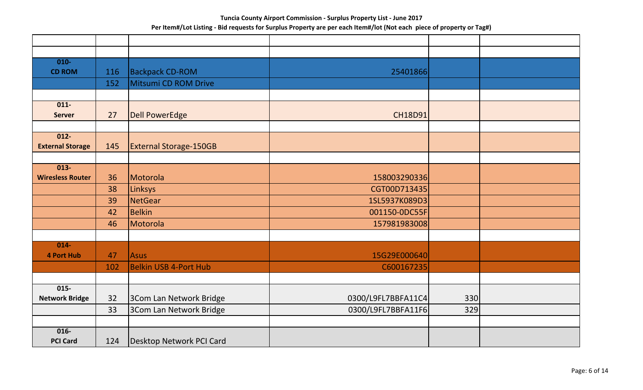| $010 -$                            |     |                               |                    |     |  |
|------------------------------------|-----|-------------------------------|--------------------|-----|--|
| <b>CD ROM</b>                      | 116 | <b>Backpack CD-ROM</b>        | 25401866           |     |  |
|                                    | 152 | Mitsumi CD ROM Drive          |                    |     |  |
|                                    |     |                               |                    |     |  |
| $011 -$                            |     |                               |                    |     |  |
| <b>Server</b>                      | 27  | <b>Dell PowerEdge</b>         | <b>CH18D91</b>     |     |  |
|                                    |     |                               |                    |     |  |
| $012 -$<br><b>External Storage</b> | 145 | <b>External Storage-150GB</b> |                    |     |  |
|                                    |     |                               |                    |     |  |
| $013 -$                            |     |                               |                    |     |  |
| <b>Wiresless Router</b>            | 36  | Motorola                      | 158003290336       |     |  |
|                                    | 38  | Linksys                       | CGT00D713435       |     |  |
|                                    | 39  | <b>NetGear</b>                | 1SL5937K089D3      |     |  |
|                                    | 42  | <b>Belkin</b>                 | 001150-0DC55F      |     |  |
|                                    | 46  | Motorola                      | 157981983008       |     |  |
|                                    |     |                               |                    |     |  |
| $014 -$                            |     |                               |                    |     |  |
| <b>4 Port Hub</b>                  | 47  | Asus                          | 15G29E000640       |     |  |
|                                    | 102 | Belkin USB 4-Port Hub         | C600167235         |     |  |
|                                    |     |                               |                    |     |  |
| $015 -$                            |     |                               |                    |     |  |
| <b>Network Bridge</b>              | 32  | 3Com Lan Network Bridge       | 0300/L9FL7BBFA11C4 | 330 |  |
|                                    | 33  | 3Com Lan Network Bridge       | 0300/L9FL7BBFA11F6 | 329 |  |
|                                    |     |                               |                    |     |  |
| $016 -$                            |     |                               |                    |     |  |
| <b>PCI Card</b>                    | 124 | Desktop Network PCI Card      |                    |     |  |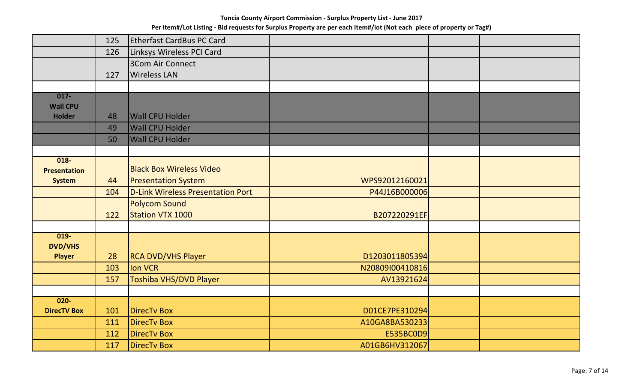|                     | 125 | <b>Etherfast CardBus PC Card</b>  |                 |  |
|---------------------|-----|-----------------------------------|-----------------|--|
|                     | 126 | Linksys Wireless PCI Card         |                 |  |
|                     |     | 3Com Air Connect                  |                 |  |
|                     | 127 | <b>Wireless LAN</b>               |                 |  |
|                     |     |                                   |                 |  |
| $017 -$             |     |                                   |                 |  |
| <b>Wall CPU</b>     |     |                                   |                 |  |
| <b>Holder</b>       | 48  | <b>Wall CPU Holder</b>            |                 |  |
|                     | 49  | <b>Wall CPU Holder</b>            |                 |  |
|                     | 50  | <b>Wall CPU Holder</b>            |                 |  |
| $018 -$             |     |                                   |                 |  |
| <b>Presentation</b> |     | <b>Black Box Wireless Video</b>   |                 |  |
| <b>System</b>       | 44  | <b>Presentation System</b>        | WPS92012160021  |  |
|                     | 104 | D-Link Wireless Presentation Port | P44J16B000006   |  |
|                     |     | <b>Polycom Sound</b>              |                 |  |
|                     | 122 | Station VTX 1000                  | B207220291EF    |  |
|                     |     |                                   |                 |  |
| $019 -$             |     |                                   |                 |  |
| <b>DVD/VHS</b>      |     |                                   |                 |  |
| <b>Player</b>       | 28  | <b>RCA DVD/VHS Player</b>         | D1203011805394  |  |
|                     | 103 | <b>Ion VCR</b>                    | N20809I00410816 |  |
|                     | 157 | Toshiba VHS/DVD Player            | AV13921624      |  |
|                     |     |                                   |                 |  |
| $020 -$             |     |                                   |                 |  |
| <b>DirecTV Box</b>  | 101 | <b>DirecTv Box</b>                | D01CE7PE310294  |  |
|                     | 111 | <b>DirecTv Box</b>                | A10GA8BA530233  |  |
|                     | 112 | <b>DirecTv Box</b>                | E535BC0D9       |  |
|                     | 117 | <b>DirecTv Box</b>                | A01GB6HV312067  |  |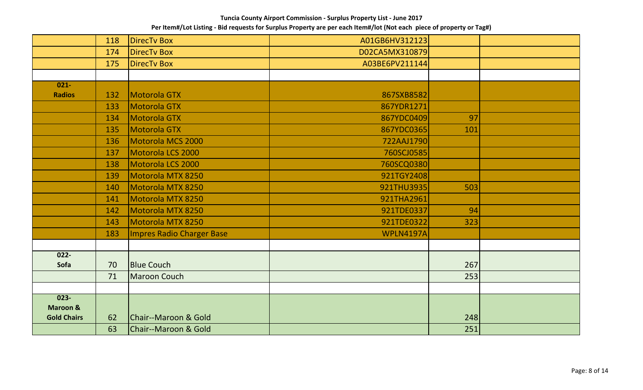|                     | 118 | <b>DirecTv Box</b>        | A01GB6HV312123   |     |  |
|---------------------|-----|---------------------------|------------------|-----|--|
|                     | 174 | <b>DirecTv Box</b>        | D02CA5MX310879   |     |  |
|                     | 175 | <b>DirecTv Box</b>        | A03BE6PV211144   |     |  |
|                     |     |                           |                  |     |  |
| $021 -$             |     |                           |                  |     |  |
| <b>Radios</b>       | 132 | Motorola GTX              | 867SXB8582       |     |  |
|                     | 133 | Motorola GTX              | 867YDR1271       |     |  |
|                     | 134 | Motorola GTX              | 867YDC0409       | 97  |  |
|                     | 135 | Motorola GTX              | 867YDC0365       | 101 |  |
|                     | 136 | Motorola MCS 2000         | 722AAJ1790       |     |  |
|                     | 137 | Motorola LCS 2000         | 760SCJ0585       |     |  |
|                     | 138 | Motorola LCS 2000         | 760SCQ0380       |     |  |
|                     | 139 | Motorola MTX 8250         | 921TGY2408       |     |  |
|                     | 140 | Motorola MTX 8250         | 921THU3935       | 503 |  |
|                     | 141 | Motorola MTX 8250         | 921THA2961       |     |  |
|                     | 142 | Motorola MTX 8250         | 921TDE0337       | 94  |  |
|                     | 143 | Motorola MTX 8250         | 921TDE0322       | 323 |  |
|                     | 183 | Impres Radio Charger Base | <b>WPLN4197A</b> |     |  |
|                     |     |                           |                  |     |  |
| $022 -$             |     |                           |                  |     |  |
| Sofa                | 70  | <b>Blue Couch</b>         |                  | 267 |  |
|                     | 71  | <b>Maroon Couch</b>       |                  | 253 |  |
|                     |     |                           |                  |     |  |
| $023 -$             |     |                           |                  |     |  |
| <b>Maroon &amp;</b> |     |                           |                  |     |  |
| <b>Gold Chairs</b>  | 62  | Chair--Maroon & Gold      |                  | 248 |  |
|                     | 63  | Chair--Maroon & Gold      |                  | 251 |  |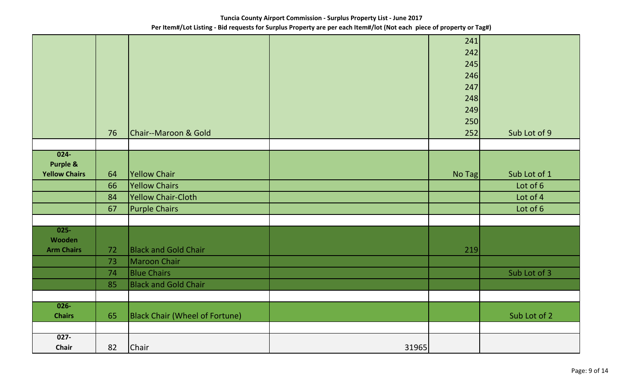|                      |    |                                |       | 241    |              |
|----------------------|----|--------------------------------|-------|--------|--------------|
|                      |    |                                |       | 242    |              |
|                      |    |                                |       |        |              |
|                      |    |                                |       | 245    |              |
|                      |    |                                |       | 246    |              |
|                      |    |                                |       | 247    |              |
|                      |    |                                |       | 248    |              |
|                      |    |                                |       | 249    |              |
|                      |    |                                |       | 250    |              |
|                      | 76 | Chair--Maroon & Gold           |       | 252    | Sub Lot of 9 |
|                      |    |                                |       |        |              |
| $024 -$              |    |                                |       |        |              |
| <b>Purple &amp;</b>  |    |                                |       |        |              |
| <b>Yellow Chairs</b> | 64 | Yellow Chair                   |       | No Tag | Sub Lot of 1 |
|                      | 66 | <b>Yellow Chairs</b>           |       |        | Lot of 6     |
|                      | 84 | <b>Yellow Chair-Cloth</b>      |       |        | Lot of 4     |
|                      | 67 | <b>Purple Chairs</b>           |       |        | Lot of 6     |
|                      |    |                                |       |        |              |
| $025 -$              |    |                                |       |        |              |
| Wooden               |    |                                |       |        |              |
| <b>Arm Chairs</b>    | 72 | <b>Black and Gold Chair</b>    |       | 219    |              |
|                      | 73 | Maroon Chair                   |       |        |              |
|                      | 74 | <b>Blue Chairs</b>             |       |        | Sub Lot of 3 |
|                      | 85 | <b>Black and Gold Chair</b>    |       |        |              |
|                      |    |                                |       |        |              |
| $026 -$              |    |                                |       |        |              |
| <b>Chairs</b>        | 65 | Black Chair (Wheel of Fortune) |       |        | Sub Lot of 2 |
|                      |    |                                |       |        |              |
| $027 -$              |    |                                |       |        |              |
| Chair                | 82 | Chair                          | 31965 |        |              |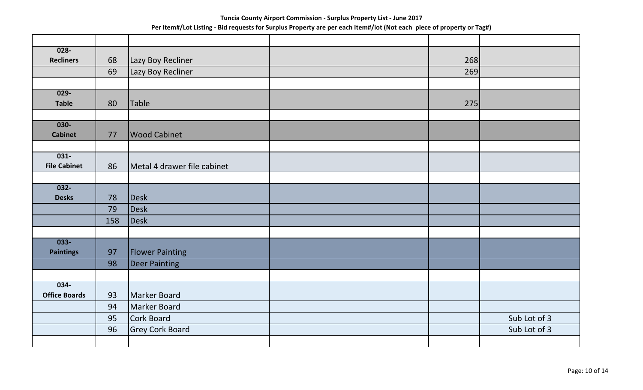| $028 -$                        |     |                             |     |              |
|--------------------------------|-----|-----------------------------|-----|--------------|
| <b>Recliners</b>               | 68  | Lazy Boy Recliner           | 268 |              |
|                                | 69  | Lazy Boy Recliner           | 269 |              |
|                                |     |                             |     |              |
| $029 -$                        |     |                             |     |              |
| <b>Table</b>                   | 80  | Table                       | 275 |              |
|                                |     |                             |     |              |
| $030 -$                        |     |                             |     |              |
| <b>Cabinet</b>                 | 77  | <b>Wood Cabinet</b>         |     |              |
|                                |     |                             |     |              |
| $031 -$<br><b>File Cabinet</b> | 86  | Metal 4 drawer file cabinet |     |              |
|                                |     |                             |     |              |
| $032 -$                        |     |                             |     |              |
| <b>Desks</b>                   | 78  | Desk                        |     |              |
|                                | 79  | Desk                        |     |              |
|                                | 158 | Desk                        |     |              |
|                                |     |                             |     |              |
| $033 -$                        |     |                             |     |              |
| <b>Paintings</b>               | 97  | <b>Flower Painting</b>      |     |              |
|                                | 98  | <b>Deer Painting</b>        |     |              |
|                                |     |                             |     |              |
| $034-$                         |     |                             |     |              |
| <b>Office Boards</b>           | 93  | Marker Board                |     |              |
|                                | 94  | Marker Board                |     |              |
|                                | 95  | Cork Board                  |     | Sub Lot of 3 |
|                                | 96  | <b>Grey Cork Board</b>      |     | Sub Lot of 3 |
|                                |     |                             |     |              |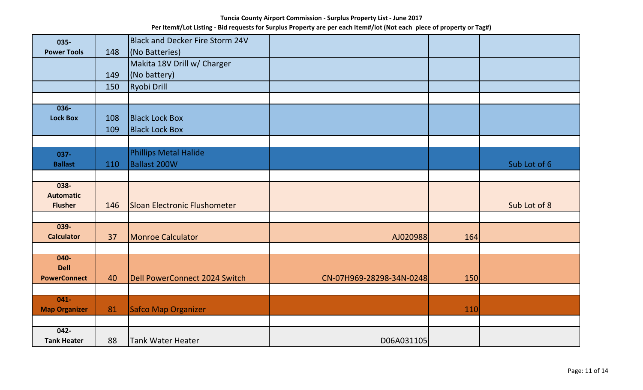| 035-                 |     | <b>Black and Decker Fire Storm 24V</b> |                          |     |              |
|----------------------|-----|----------------------------------------|--------------------------|-----|--------------|
| <b>Power Tools</b>   | 148 | (No Batteries)                         |                          |     |              |
|                      |     | Makita 18V Drill w/ Charger            |                          |     |              |
|                      | 149 | (No battery)                           |                          |     |              |
|                      | 150 | Ryobi Drill                            |                          |     |              |
|                      |     |                                        |                          |     |              |
| $036 -$              |     |                                        |                          |     |              |
| <b>Lock Box</b>      | 108 | <b>Black Lock Box</b>                  |                          |     |              |
|                      | 109 | <b>Black Lock Box</b>                  |                          |     |              |
|                      |     |                                        |                          |     |              |
| $037 -$              |     | <b>Phillips Metal Halide</b>           |                          |     |              |
| <b>Ballast</b>       | 110 | Ballast 200W                           |                          |     | Sub Lot of 6 |
|                      |     |                                        |                          |     |              |
| 038-                 |     |                                        |                          |     |              |
| <b>Automatic</b>     |     |                                        |                          |     |              |
| <b>Flusher</b>       | 146 | Sloan Electronic Flushometer           |                          |     | Sub Lot of 8 |
| $039 -$              |     |                                        |                          |     |              |
| <b>Calculator</b>    | 37  | Monroe Calculator                      | AJ020988                 | 164 |              |
|                      |     |                                        |                          |     |              |
| $040 -$              |     |                                        |                          |     |              |
| <b>Dell</b>          |     |                                        |                          |     |              |
| <b>PowerConnect</b>  | 40  | Dell PowerConnect 2024 Switch          | CN-07H969-28298-34N-0248 | 150 |              |
|                      |     |                                        |                          |     |              |
| $041 -$              |     |                                        |                          |     |              |
| <b>Map Organizer</b> | 81  | Safco Map Organizer                    |                          | 110 |              |
| $042 -$              |     |                                        |                          |     |              |
| <b>Tank Heater</b>   | 88  | <b>Tank Water Heater</b>               | D06A031105               |     |              |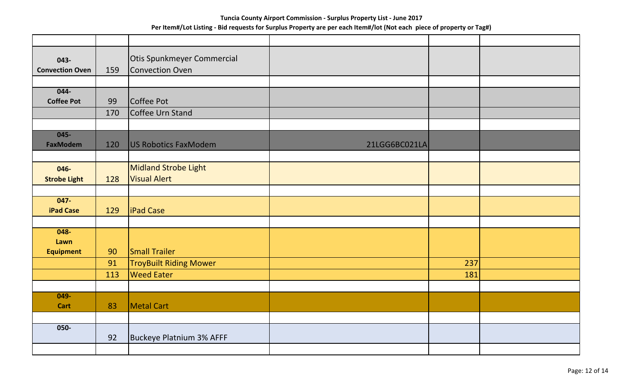| 043-                        |     | Otis Spunkmeyer Commercial    |               |     |  |
|-----------------------------|-----|-------------------------------|---------------|-----|--|
| <b>Convection Oven</b>      | 159 | Convection Oven               |               |     |  |
|                             |     |                               |               |     |  |
| $044 -$                     |     |                               |               |     |  |
| <b>Coffee Pot</b>           | 99  | Coffee Pot                    |               |     |  |
|                             | 170 | Coffee Urn Stand              |               |     |  |
|                             |     |                               |               |     |  |
| $045 -$                     |     |                               |               |     |  |
| <b>FaxModem</b>             | 120 | US Robotics FaxModem          | 21LGG6BC021LA |     |  |
|                             |     |                               |               |     |  |
| 046-                        |     | Midland Strobe Light          |               |     |  |
| <b>Strobe Light</b>         | 128 | <b>Visual Alert</b>           |               |     |  |
|                             |     |                               |               |     |  |
| $047 -$<br><b>iPad Case</b> | 129 | <b>liPad Case</b>             |               |     |  |
|                             |     |                               |               |     |  |
| $048 -$                     |     |                               |               |     |  |
| Lawn                        |     |                               |               |     |  |
| <b>Equipment</b>            | 90  | <b>Small Trailer</b>          |               |     |  |
|                             | 91  | <b>TroyBuilt Riding Mower</b> |               | 237 |  |
|                             | 113 | <b>Weed Eater</b>             |               | 181 |  |
|                             |     |                               |               |     |  |
| 049-                        |     |                               |               |     |  |
| Cart                        | 83  | Metal Cart                    |               |     |  |
| 050-                        |     |                               |               |     |  |
|                             | 92  | Buckeye Platnium 3% AFFF      |               |     |  |
|                             |     |                               |               |     |  |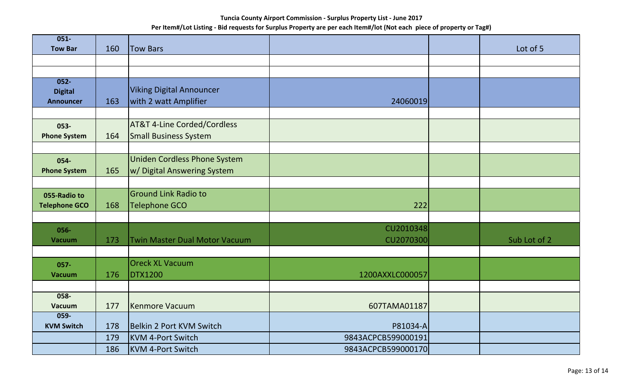| $051 -$                  |     |                                        |                    |              |
|--------------------------|-----|----------------------------------------|--------------------|--------------|
| <b>Tow Bar</b>           | 160 | <b>Tow Bars</b>                        |                    | Lot of 5     |
|                          |     |                                        |                    |              |
| $052 -$                  |     |                                        |                    |              |
| <b>Digital</b>           |     | <b>Viking Digital Announcer</b>        |                    |              |
| <b>Announcer</b>         | 163 | with 2 watt Amplifier                  | 24060019           |              |
|                          |     |                                        |                    |              |
| 053-                     |     | <b>AT&amp;T 4-Line Corded/Cordless</b> |                    |              |
| <b>Phone System</b>      | 164 | <b>Small Business System</b>           |                    |              |
|                          |     |                                        |                    |              |
| 054-                     |     | <b>Uniden Cordless Phone System</b>    |                    |              |
| <b>Phone System</b>      | 165 | w/ Digital Answering System            |                    |              |
|                          |     |                                        |                    |              |
| 055-Radio to             |     | <b>Ground Link Radio to</b>            |                    |              |
| <b>Telephone GCO</b>     | 168 | <b>Telephone GCO</b>                   | 222                |              |
|                          |     |                                        |                    |              |
| 056-                     |     |                                        | CU2010348          |              |
| <b>Vacuum</b>            | 173 | <b>Twin Master Dual Motor Vacuum</b>   | CU2070300          | Sub Lot of 2 |
|                          |     |                                        |                    |              |
| 057-                     |     | <b>Oreck XL Vacuum</b>                 |                    |              |
| <b>Vacuum</b>            | 176 | <b>DTX1200</b>                         | 1200AXXLC000057    |              |
|                          |     |                                        |                    |              |
| $058 -$<br><b>Vacuum</b> | 177 | <b>Kenmore Vacuum</b>                  | 607TAMA01187       |              |
| $059 -$                  |     |                                        |                    |              |
| <b>KVM Switch</b>        | 178 | Belkin 2 Port KVM Switch               | P81034-A           |              |
|                          | 179 | KVM 4-Port Switch                      | 9843ACPCB599000191 |              |
|                          | 186 | KVM 4-Port Switch                      | 9843ACPCB599000170 |              |